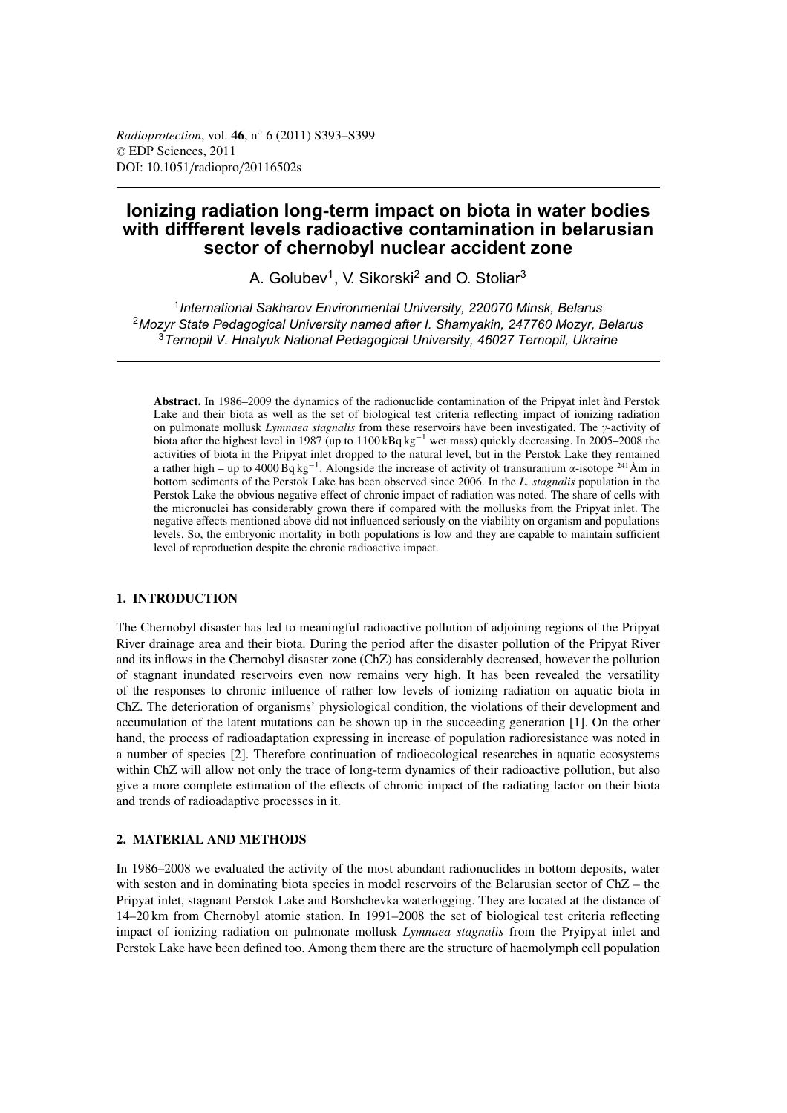# **Ionizing radiation long-term impact on biota in water bodies with diffferent levels radioactive contamination in belarusian sector of chernobyl nuclear accident zone**

A. Golubev<sup>1</sup>, V. Sikorski<sup>2</sup> and O. Stoliar<sup>3</sup>

<sup>1</sup>*International Sakharov Environmental University, 220070 Minsk, Belarus* <sup>2</sup>*Mozyr State Pedagogical University named after I. Shamyakin, 247760 Mozyr, Belarus* <sup>3</sup>*Ternopil V. Hnatyuk National Pedagogical University, 46027 Ternopil, Ukraine*

**Abstract.** In 1986–2009 the dynamics of the radionuclide contamination of the Pripyat inlet ànd Perstok Lake and their biota as well as the set of biological test criteria reflecting impact of ionizing radiation on pulmonate mollusk *Lymnaea stagnalis* from these reservoirs have been investigated. The y-activity of biota after the highest level in 1987 (up to 1100 kBq kg−<sup>1</sup> wet mass) quickly decreasing. In 2005–2008 the activities of biota in the Pripyat inlet dropped to the natural level, but in the Perstok Lake they remained a rather high – up to 4000 Bq kg<sup>-1</sup>. Alongside the increase of activity of transuranium α-isotope <sup>241</sup> Àm in bottom sediments of the Perstok Lake has been observed since 2006. In the *L. stagnalis* population in the Perstok Lake the obvious negative effect of chronic impact of radiation was noted. The share of cells with the micronuclei has considerably grown there if compared with the mollusks from the Pripyat inlet. The negative effects mentioned above did not influenced seriously on the viability on organism and populations levels. So, the embryonic mortality in both populations is low and they are capable to maintain sufficient level of reproduction despite the chronic radioactive impact.

## **1. INTRODUCTION**

The Chernobyl disaster has led to meaningful radioactive pollution of adjoining regions of the Pripyat River drainage area and their biota. During the period after the disaster pollution of the Pripyat River and its inflows in the Chernobyl disaster zone (ChZ) has considerably decreased, however the pollution of stagnant inundated reservoirs even now remains very high. It has been revealed the versatility of the responses to chronic influence of rather low levels of ionizing radiation on aquatic biota in ChZ. The deterioration of organisms' physiological condition, the violations of their development and accumulation of the latent mutations can be shown up in the succeeding generation [1]. On the other hand, the process of radioadaptation expressing in increase of population radioresistance was noted in a number of species [2]. Therefore continuation of radioecological researches in aquatic ecosystems within ChZ will allow not only the trace of long-term dynamics of their radioactive pollution, but also give a more complete estimation of the effects of chronic impact of the radiating factor on their biota and trends of radioadaptive processes in it.

## **2. MATERIAL AND METHODS**

In 1986–2008 we evaluated the activity of the most abundant radionuclides in bottom deposits, water with seston and in dominating biota species in model reservoirs of the Belarusian sector of ChZ – the Pripyat inlet, stagnant Perstok Lake and Borshchevka waterlogging. They are located at the distance of 14–20 km from Chernobyl atomic station. In 1991–2008 the set of biological test criteria reflecting impact of ionizing radiation on pulmonate mollusk *Lymnaea stagnalis* from the Pryipyat inlet and Perstok Lake have been defined too. Among them there are the structure of haemolymph cell population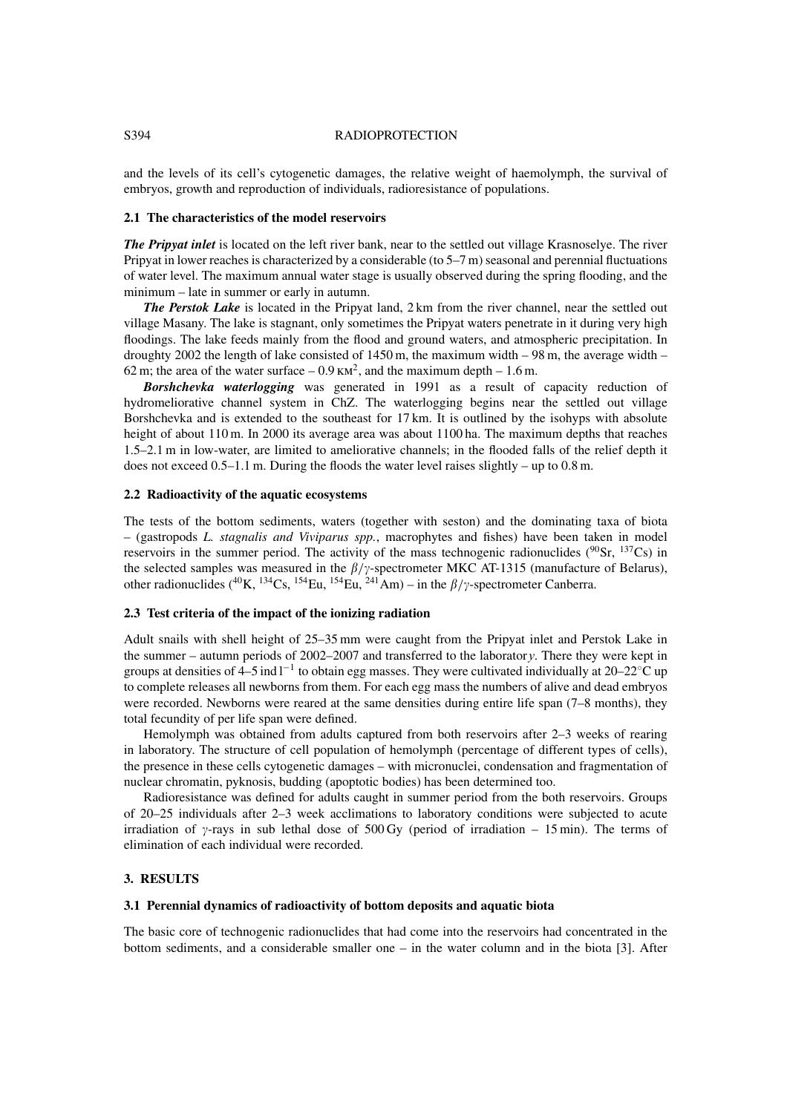#### S394 RADIOPROTECTION

and the levels of its cell's cytogenetic damages, the relative weight of haemolymph, the survival of embryos, growth and reproduction of individuals, radioresistance of populations.

#### **2.1 The characteristics of the model reservoirs**

*The Pripyat inlet* is located on the left river bank, near to the settled out village Krasnoselye. The river Pripyat in lower reaches is characterized by a considerable (to 5–7 m) seasonal and perennial fluctuations of water level. The maximum annual water stage is usually observed during the spring flooding, and the minimum – late in summer or early in autumn.

*The Perstok Lake* is located in the Pripyat land, 2 km from the river channel, near the settled out village Masany. The lake is stagnant, only sometimes the Pripyat waters penetrate in it during very high floodings. The lake feeds mainly from the flood and ground waters, and atmospheric precipitation. In droughty 2002 the length of lake consisted of  $1450$  m, the maximum width  $-98$  m, the average width  $-$ 62 m; the area of the water surface  $-0.9 \text{ km}^2$ , and the maximum depth  $-1.6 \text{ m}$ .

*Borshchevka waterlogging* was generated in 1991 as a result of capacity reduction of hydromeliorative channel system in ChZ. The waterlogging begins near the settled out village Borshchevka and is extended to the southeast for 17 km. It is outlined by the isohyps with absolute height of about 110 m. In 2000 its average area was about 1100 ha. The maximum depths that reaches 1.5–2.1 m in low-water, are limited to ameliorative channels; in the flooded falls of the relief depth it does not exceed  $0.5-1.1$  m. During the floods the water level raises slightly – up to  $0.8$  m.

#### **2.2 Radioactivity of the aquatic ecosystems**

The tests of the bottom sediments, waters (together with seston) and the dominating taxa of biota – (gastropods *L. stagnalis and Viviparus spp.*, macrophytes and fishes) have been taken in model reservoirs in the summer period. The activity of the mass technogenic radionuclides ( $90\text{Sr}$ ,  $137\text{Cs}$ ) in the selected samples was measured in the  $\beta/\gamma$ -spectrometer MKC AT-1315 (manufacture of Belarus), other radionuclides (<sup>40</sup>K, <sup>134</sup>Cs, <sup>154</sup>Eu, <sup>154</sup>Eu, <sup>241</sup>Am) – in the  $\beta/\gamma$ -spectrometer Canberra.

## **2.3 Test criteria of the impact of the ionizing radiation**

Adult snails with shell height of 25–35 mm were caught from the Pripyat inlet and Perstok Lake in the summer – autumn periods of 2002–2007 and transferred to the laboratory. There they were kept in groups at densities of 4–5 ind  $l^{-1}$  to obtain egg masses. They were cultivated individually at 20–22°C up to complete releases all newborns from them. For each egg mass the numbers of alive and dead embryos were recorded. Newborns were reared at the same densities during entire life span (7–8 months), they total fecundity of per life span were defined.

Hemolymph was obtained from adults captured from both reservoirs after 2–3 weeks of rearing in laboratory. The structure of cell population of hemolymph (percentage of different types of cells), the presence in these cells cytogenetic damages – with micronuclei, condensation and fragmentation of nuclear chromatin, pyknosis, budding (apoptotic bodies) has been determined too.

Radioresistance was defined for adults caught in summer period from the both reservoirs. Groups of 20–25 individuals after 2–3 week acclimations to laboratory conditions were subjected to acute irradiation of  $\gamma$ -rays in sub lethal dose of 500 Gy (period of irradiation – 15 min). The terms of elimination of each individual were recorded.

## **3. RESULTS**

## **3.1 Perennial dynamics of radioactivity of bottom deposits and aquatic biota**

The basic core of technogenic radionuclides that had come into the reservoirs had concentrated in the bottom sediments, and a considerable smaller one – in the water column and in the biota [3]. After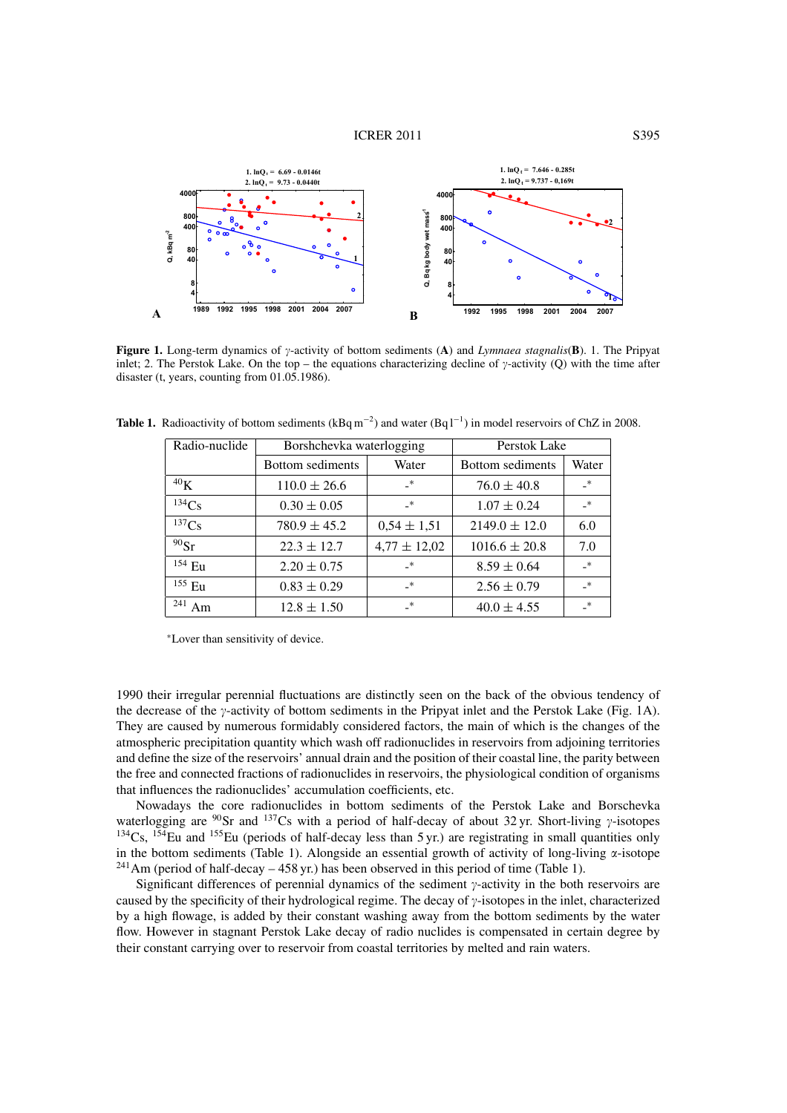#### **ICRER 2011** S395



**Figure 1.** Long-term dynamics of  $\gamma$ -activity of bottom sediments (**A**) and *Lymnaea stagnalis*(**B**). 1. The Pripyat inlet; 2. The Perstok Lake. On the top – the equations characterizing decline of  $\gamma$ -activity (Q) with the time after disaster (t, years, counting from 01.05.1986).

| Radio-nuclide | Borshchevka waterlogging |                  | Perstok Lake      |               |
|---------------|--------------------------|------------------|-------------------|---------------|
|               | Bottom sediments         | Water            | Bottom sediments  | Water         |
| $^{40}$ K     | $110.0 \pm 26.6$         | $\rightarrow$    | $76.0 \pm 40.8$   | $\rightarrow$ |
| 134Cs         | $0.30 \pm 0.05$          | $_{-*}$          | $1.07 \pm 0.24$   | $*$           |
| 137Cs         | $780.9 \pm 45.2$         | $0,54 \pm 1,51$  | $2149.0 \pm 12.0$ | 6.0           |
| $90$ Sr       | $22.3 \pm 12.7$          | $4,77 \pm 12,02$ | $1016.6 \pm 20.8$ | 7.0           |
| $154$ Eu      | $2.20 \pm 0.75$          | $_{-*}$          | $8.59 \pm 0.64$   | $\rightarrow$ |
| $155$ Eu      | $0.83 \pm 0.29$          | $\cdot^*$        | $2.56 \pm 0.79$   | $\ast$        |
| 241<br>Am     | $12.8 \pm 1.50$          | $\mathbf{R}^*$   | $40.0 \pm 4.55$   | $*$           |

**Table 1.** Radioactivity of bottom sediments  $(kBq m^{-2})$  and water  $(Bq l^{-1})$  in model reservoirs of ChZ in 2008.

<sup>∗</sup>Lover than sensitivity of device.

1990 their irregular perennial fluctuations are distinctly seen on the back of the obvious tendency of the decrease of the  $\gamma$ -activity of bottom sediments in the Pripyat inlet and the Perstok Lake (Fig. 1A). They are caused by numerous formidably considered factors, the main of which is the changes of the atmospheric precipitation quantity which wash off radionuclides in reservoirs from adjoining territories and define the size of the reservoirs' annual drain and the position of their coastal line, the parity between the free and connected fractions of radionuclides in reservoirs, the physiological condition of organisms that influences the radionuclides' accumulation coefficients, etc.

Nowadays the core radionuclides in bottom sediments of the Perstok Lake and Borschevka waterlogging are  $90$ Sr and  $137$ Cs with a period of half-decay of about 32 yr. Short-living  $\gamma$ -isotopes  $134Cs$ ,  $154Eu$  and  $155Eu$  (periods of half-decay less than 5 yr.) are registrating in small quantities only in the bottom sediments (Table 1). Alongside an essential growth of activity of long-living  $\alpha$ -isotope  $^{241}$ Am (period of half-decay – 458 yr.) has been observed in this period of time (Table 1).

Significant differences of perennial dynamics of the sediment  $\gamma$ -activity in the both reservoirs are caused by the specificity of their hydrological regime. The decay of  $\gamma$ -isotopes in the inlet, characterized by a high flowage, is added by their constant washing away from the bottom sediments by the water flow. However in stagnant Perstok Lake decay of radio nuclides is compensated in certain degree by their constant carrying over to reservoir from coastal territories by melted and rain waters.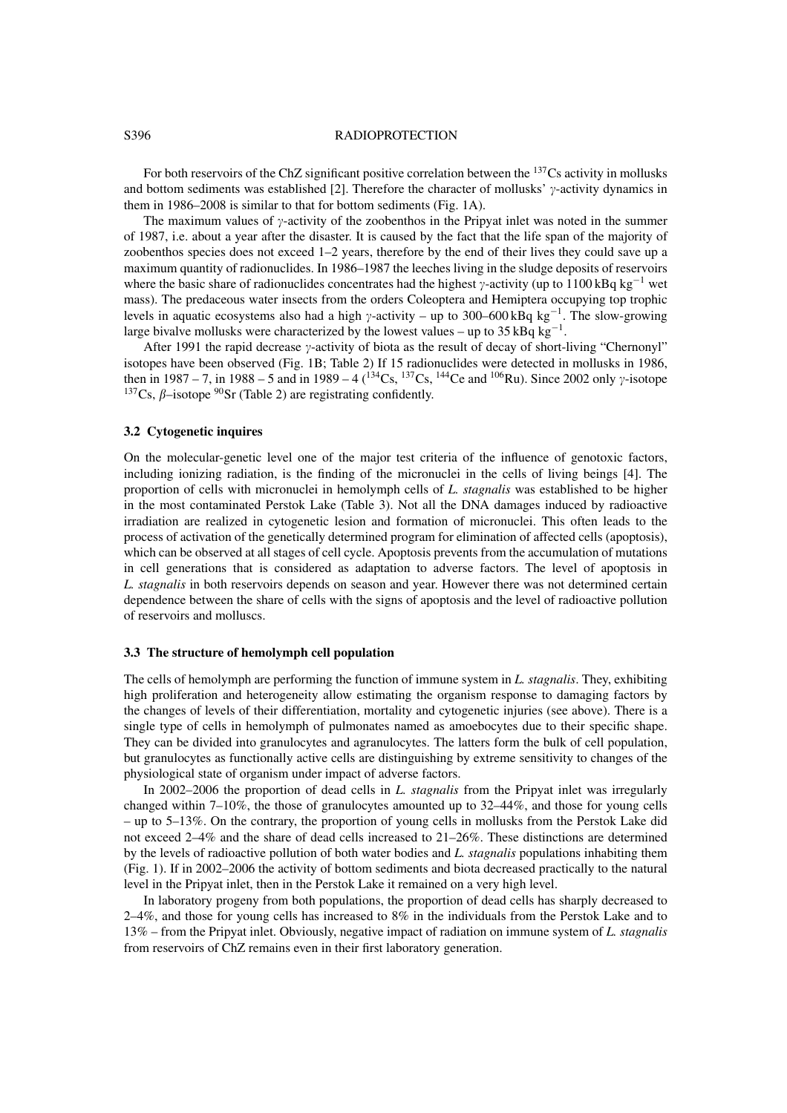#### S396 RADIOPROTECTION

For both reservoirs of the ChZ significant positive correlation between the <sup>137</sup>Cs activity in mollusks and bottom sediments was established [2]. Therefore the character of mollusks'  $\gamma$ -activity dynamics in them in 1986–2008 is similar to that for bottom sediments (Fig. 1A).

The maximum values of  $\gamma$ -activity of the zoobenthos in the Pripyat inlet was noted in the summer of 1987, i.e. about a year after the disaster. It is caused by the fact that the life span of the majority of zoobenthos species does not exceed 1–2 years, therefore by the end of their lives they could save up a maximum quantity of radionuclides. In 1986–1987 the leeches living in the sludge deposits of reservoirs where the basic share of radionuclides concentrates had the highest  $\gamma$ -activity (up to 1100 kBq kg<sup>-1</sup> wet mass). The predaceous water insects from the orders Coleoptera and Hemiptera occupying top trophic levels in aquatic ecosystems also had a high  $\gamma$ -activity – up to 300–600 kBq kg<sup>-1</sup>. The slow-growing large bivalve mollusks were characterized by the lowest values – up to  $35 \text{ kBq kg}^{-1}$ .

After 1991 the rapid decrease  $\gamma$ -activity of biota as the result of decay of short-living "Chernonyl" isotopes have been observed (Fig. 1B; Table 2) If 15 radionuclides were detected in mollusks in 1986, then in 1987 – 7, in 1988 – 5 and in 1989 – 4 ( $^{134}Cs$ ,  $^{137}Cs$ ,  $^{144}Ce$  and  $^{106}Ru$ ). Since 2002 only  $\gamma$ -isotope <sup>137</sup>Cs,  $\beta$ -isotope <sup>90</sup>Sr (Table 2) are registrating confidently.

## **3.2 Cytogenetic inquires**

On the molecular-genetic level one of the major test criteria of the influence of genotoxic factors, including ionizing radiation, is the finding of the micronuclei in the cells of living beings [4]. The proportion of cells with micronuclei in hemolymph cells of *L. stagnalis* was established to be higher in the most contaminated Perstok Lake (Table 3). Not all the DNA damages induced by radioactive irradiation are realized in cytogenetic lesion and formation of micronuclei. This often leads to the process of activation of the genetically determined program for elimination of affected cells (apoptosis), which can be observed at all stages of cell cycle. Apoptosis prevents from the accumulation of mutations in cell generations that is considered as adaptation to adverse factors. The level of apoptosis in *L. stagnalis* in both reservoirs depends on season and year. However there was not determined certain dependence between the share of cells with the signs of apoptosis and the level of radioactive pollution of reservoirs and molluscs.

### **3.3 The structure of hemolymph cell population**

The cells of hemolymph are performing the function of immune system in *L. stagnalis*. They, exhibiting high proliferation and heterogeneity allow estimating the organism response to damaging factors by the changes of levels of their differentiation, mortality and cytogenetic injuries (see above). There is a single type of cells in hemolymph of pulmonates named as amoebocytes due to their specific shape. They can be divided into granulocytes and agranulocytes. The latters form the bulk of cell population, but granulocytes as functionally active cells are distinguishing by extreme sensitivity to changes of the physiological state of organism under impact of adverse factors.

In 2002–2006 the proportion of dead cells in *L. stagnalis* from the Pripyat inlet was irregularly changed within 7–10%, the those of granulocytes amounted up to 32–44%, and those for young cells – up to 5–13%. On the contrary, the proportion of young cells in mollusks from the Perstok Lake did not exceed 2–4% and the share of dead cells increased to 21–26%. These distinctions are determined by the levels of radioactive pollution of both water bodies and *L. stagnalis* populations inhabiting them (Fig. 1). If in 2002–2006 the activity of bottom sediments and biota decreased practically to the natural level in the Pripyat inlet, then in the Perstok Lake it remained on a very high level.

In laboratory progeny from both populations, the proportion of dead cells has sharply decreased to 2–4%, and those for young cells has increased to 8% in the individuals from the Perstok Lake and to 13% – from the Pripyat inlet. Obviously, negative impact of radiation on immune system of *L. stagnalis* from reservoirs of ChZ remains even in their first laboratory generation.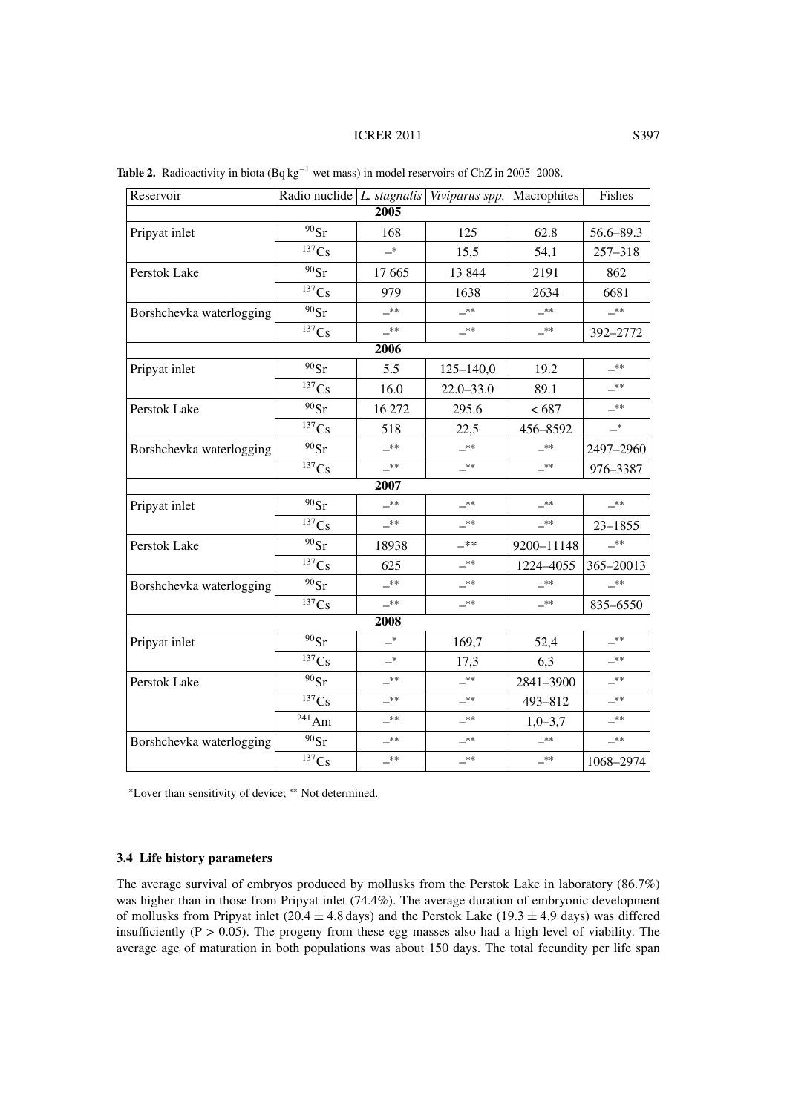## **ICRER 2011** S397

| Reservoir                |                       |            | Radio nuclide $L$ . stagnalis Viviparus spp. Macrophites |            | Fishes                     |  |
|--------------------------|-----------------------|------------|----------------------------------------------------------|------------|----------------------------|--|
| 2005                     |                       |            |                                                          |            |                            |  |
| Pripyat inlet            | $^{90}\mathrm{Sr}$    | 168        | 125                                                      | 62.8       | 56.6-89.3                  |  |
|                          | $137C_s$              | $-^{\ast}$ | 15,5                                                     | 54,1       | 257-318                    |  |
| Perstok Lake             | $90$ Sr               | 17 665     | 13 844                                                   | 2191       | 862                        |  |
|                          | 137Cs                 | 979        | 1638                                                     | 2634       | 6681                       |  |
| Borshchevka waterlogging | $90$ Sr               | $-**$      | $-**$                                                    | $-***$     | $-***$                     |  |
|                          | 137Cs                 | $-**$      | $-***$                                                   | $-***$     | 392-2772                   |  |
|                          |                       | 2006       |                                                          |            |                            |  |
| Pripyat inlet            | $90$ Sr               | 5.5        | $125 - 140,0$                                            | 19.2       | _**                        |  |
|                          | 137Cs                 | 16.0       | $22.0 - 33.0$                                            | 89.1       | —**                        |  |
| Perstok Lake             | $^{90}\mathrm{Sr}$    | 16 27 2    | 295.6                                                    | < 687      | $-***$                     |  |
|                          | 137Cs                 | 518        | 22,5                                                     | 456-8592   | $\overline{\phantom{0}}^*$ |  |
| Borshchevka waterlogging | $90$ Sr               | $-***$     | $-***$                                                   | $-***$     | 2497-2960                  |  |
|                          | 137Cs                 | $-**$      | $-**$                                                    | $-***$     | 976-3387                   |  |
|                          |                       | 2007       |                                                          |            |                            |  |
| Pripyat inlet            | $^{90}\mathrm{Sr}$    | _**        | $-**$                                                    | $-***$     | $-***$                     |  |
|                          | 137Cs                 | $-***$     | $-***$                                                   | $-***$     | $23 - 1855$                |  |
| Perstok Lake             | $^{90}\mathrm{Sr}$    | 18938      | _**                                                      | 9200-11148 | _**                        |  |
|                          | 137Cs                 | 625        | $-**$                                                    | 1224-4055  | 365-20013                  |  |
| Borshchevka waterlogging | $90$ Sr               | $-**$      | $-***$                                                   | $-***$     | $-***$                     |  |
|                          | 137Cs                 | $-***$     | $-***$                                                   | $-***$     | 835-6550                   |  |
|                          |                       | 2008       |                                                          |            |                            |  |
| Pripyat inlet            | $90$ Sr               | $-^\ast$   | 169,7                                                    | 52,4       | _**                        |  |
|                          | 137Cs                 | $-{}^*$    | 17,3                                                     | 6,3        | $-***$                     |  |
| Perstok Lake             | $^{90}\mathrm{Sr}$    | $-***$     | $-***$                                                   | 2841-3900  | $-***$                     |  |
|                          | ${}^{137}\mathrm{Cs}$ | _**        | $-**$                                                    | 493-812    | $-***$                     |  |
|                          | $^{241}\mathrm{Am}$   | $-***$     | _**                                                      | $1,0-3,7$  | $-***$                     |  |
| Borshchevka waterlogging | $^{90}\mathrm{Sr}$    | **         | _**                                                      | $-***$     | _**                        |  |
|                          | 137Cs                 | $-$ **     | _**                                                      | $-***$     | 1068-2974                  |  |

Table 2. Radioactivity in biota (Bq kg<sup>-1</sup> wet mass) in model reservoirs of ChZ in 2005–2008.

<sup>∗</sup>Lover than sensitivity of device; ∗∗ Not determined.

## **3.4 Life history parameters**

The average survival of embryos produced by mollusks from the Perstok Lake in laboratory (86.7%) was higher than in those from Pripyat inlet (74.4%). The average duration of embryonic development of mollusks from Pripyat inlet (20.4  $\pm$  4.8 days) and the Perstok Lake (19.3  $\pm$  4.9 days) was differed insufficiently ( $P > 0.05$ ). The progeny from these egg masses also had a high level of viability. The average age of maturation in both populations was about 150 days. The total fecundity per life span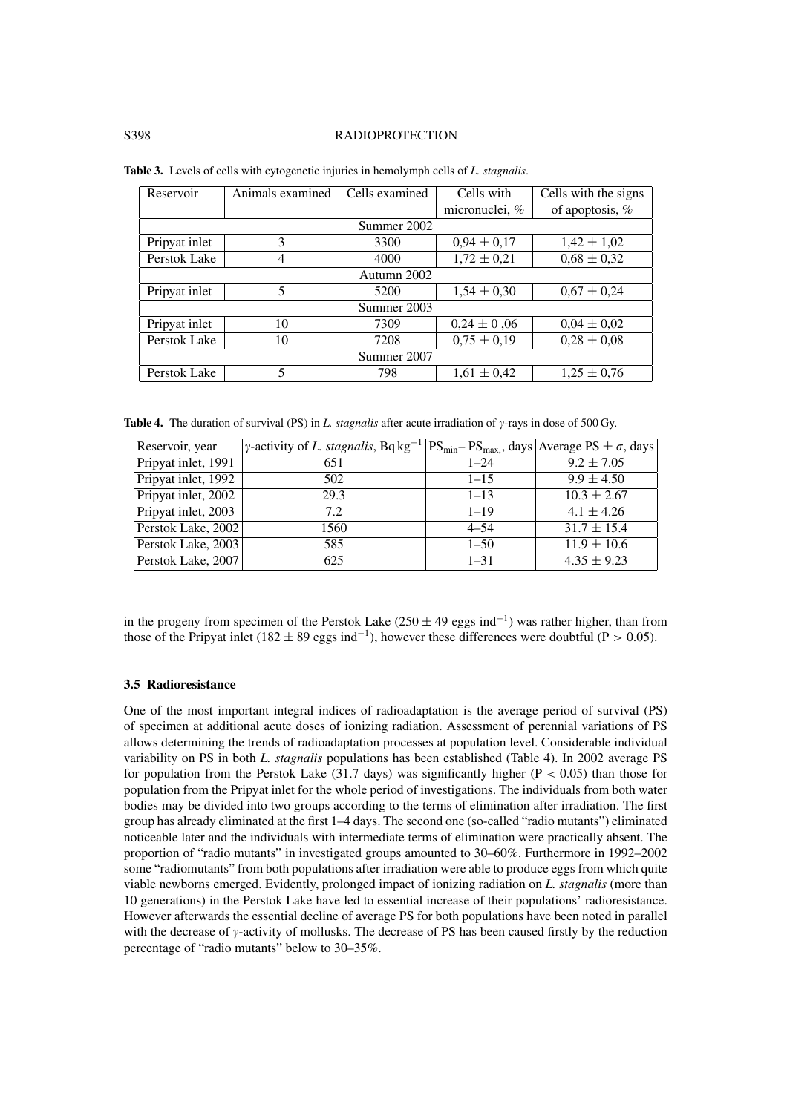### S398 RADIOPROTECTION

| Reservoir     | Animals examined | Cells examined | Cells with      | Cells with the signs |  |  |
|---------------|------------------|----------------|-----------------|----------------------|--|--|
|               |                  |                | micronuclei, %  | of apoptosis, %      |  |  |
|               | Summer 2002      |                |                 |                      |  |  |
| Pripyat inlet | 3                | 3300           | $0.94 \pm 0.17$ | $1,42 \pm 1,02$      |  |  |
| Perstok Lake  | 4                | 4000           | $1,72 \pm 0,21$ | $0.68 \pm 0.32$      |  |  |
| Autumn 2002   |                  |                |                 |                      |  |  |
| Pripyat inlet | 5                | 5200           | $1,54 \pm 0,30$ | $0.67 \pm 0.24$      |  |  |
| Summer 2003   |                  |                |                 |                      |  |  |
| Pripyat inlet | 10               | 7309           | $0.24 \pm 0.06$ | $0.04 \pm 0.02$      |  |  |
| Perstok Lake  | 10               | 7208           | $0.75 \pm 0.19$ | $0.28 \pm 0.08$      |  |  |
| Summer 2007   |                  |                |                 |                      |  |  |
| Perstok Lake  | 5                | 798            | $1,61 \pm 0,42$ | $1,25 \pm 0,76$      |  |  |

|  |  | Table 3. Levels of cells with cytogenetic injuries in hemolymph cells of L. stagnalis. |
|--|--|----------------------------------------------------------------------------------------|
|  |  |                                                                                        |

**Table 4.** The duration of survival (PS) in *L. stagnalis* after acute irradiation of  $\gamma$ -rays in dose of 500 Gy.

| Reservoir, year     | $\gamma$ -activity of <i>L. stagnalis</i> , Bq kg <sup>-1</sup> |          | $ PS_{min} - PS_{max}$ , days Average PS $\pm \sigma$ , days |
|---------------------|-----------------------------------------------------------------|----------|--------------------------------------------------------------|
| Pripyat inlet, 1991 | 651                                                             | $1 - 24$ | $9.2 \pm 7.05$                                               |
| Pripyat inlet, 1992 | 502                                                             | $1 - 15$ | $9.9 \pm 4.50$                                               |
| Pripyat inlet, 2002 | 29.3                                                            | $1 - 13$ | $10.3 \pm 2.67$                                              |
| Pripyat inlet, 2003 | 7.2                                                             | $1 - 19$ | $4.1 \pm 4.26$                                               |
| Perstok Lake, 2002  | 1560                                                            | $4 - 54$ | $31.7 \pm 15.4$                                              |
| Perstok Lake, 2003  | 585                                                             | $1 - 50$ | $11.9 \pm 10.6$                                              |
| Perstok Lake, 2007  | 625                                                             | $1 - 31$ | $4.35 \pm 9.23$                                              |

in the progeny from specimen of the Perstok Lake (250  $\pm$  49 eggs ind<sup>-1</sup>) was rather higher, than from those of the Pripyat inlet (182  $\pm$  89 eggs ind<sup>-1</sup>), however these differences were doubtful (P > 0.05).

#### **3.5 Radioresistance**

One of the most important integral indices of radioadaptation is the average period of survival (PS) of specimen at additional acute doses of ionizing radiation. Assessment of perennial variations of PS allows determining the trends of radioadaptation processes at population level. Considerable individual variability on PS in both *L. stagnalis* populations has been established (Table 4). In 2002 average PS for population from the Perstok Lake  $(31.7 \text{ days})$  was significantly higher  $(P < 0.05)$  than those for population from the Pripyat inlet for the whole period of investigations. The individuals from both water bodies may be divided into two groups according to the terms of elimination after irradiation. The first group has already eliminated at the first 1–4 days. The second one (so-called "radio mutants") eliminated noticeable later and the individuals with intermediate terms of elimination were practically absent. The proportion of "radio mutants" in investigated groups amounted to 30–60%. Furthermore in 1992–2002 some "radiomutants" from both populations after irradiation were able to produce eggs from which quite viable newborns emerged. Evidently, prolonged impact of ionizing radiation on *L. stagnalis* (more than 10 generations) in the Perstok Lake have led to essential increase of their populations' radioresistance. However afterwards the essential decline of average PS for both populations have been noted in parallel with the decrease of  $\gamma$ -activity of mollusks. The decrease of PS has been caused firstly by the reduction percentage of "radio mutants" below to 30–35%.